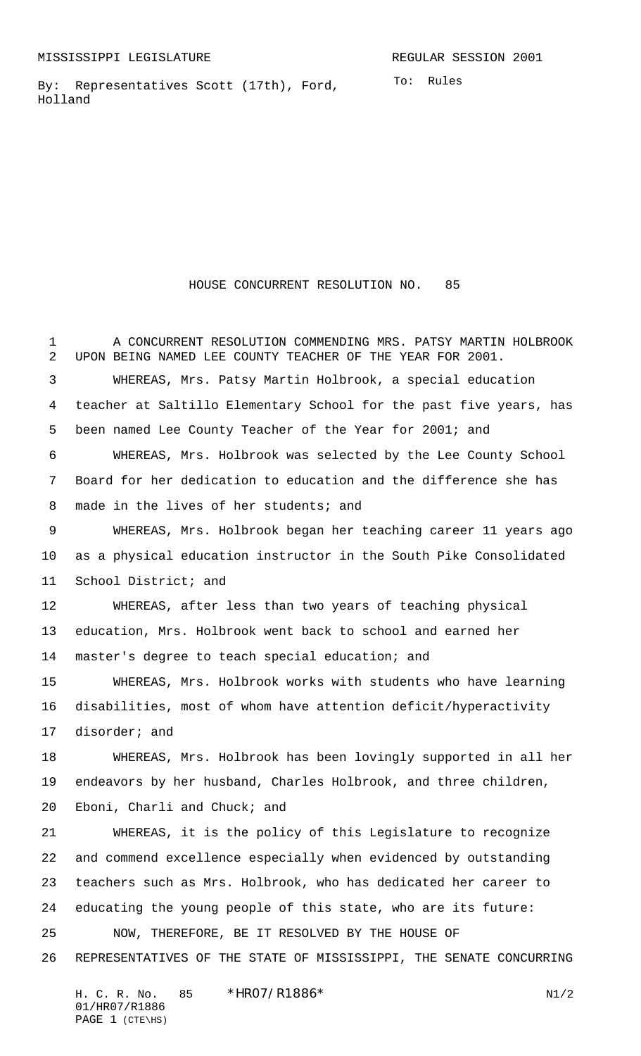By: Representatives Scott (17th), Ford, Holland

HOUSE CONCURRENT RESOLUTION NO. 85

1 A CONCURRENT RESOLUTION COMMENDING MRS. PATSY MARTIN HOLBROOK UPON BEING NAMED LEE COUNTY TEACHER OF THE YEAR FOR 2001. WHEREAS, Mrs. Patsy Martin Holbrook, a special education teacher at Saltillo Elementary School for the past five years, has been named Lee County Teacher of the Year for 2001; and WHEREAS, Mrs. Holbrook was selected by the Lee County School Board for her dedication to education and the difference she has 8 made in the lives of her students; and WHEREAS, Mrs. Holbrook began her teaching career 11 years ago as a physical education instructor in the South Pike Consolidated School District; and WHEREAS, after less than two years of teaching physical education, Mrs. Holbrook went back to school and earned her master's degree to teach special education; and WHEREAS, Mrs. Holbrook works with students who have learning disabilities, most of whom have attention deficit/hyperactivity disorder; and WHEREAS, Mrs. Holbrook has been lovingly supported in all her endeavors by her husband, Charles Holbrook, and three children, Eboni, Charli and Chuck; and WHEREAS, it is the policy of this Legislature to recognize and commend excellence especially when evidenced by outstanding teachers such as Mrs. Holbrook, who has dedicated her career to educating the young people of this state, who are its future: NOW, THEREFORE, BE IT RESOLVED BY THE HOUSE OF REPRESENTATIVES OF THE STATE OF MISSISSIPPI, THE SENATE CONCURRING

H. C. R. No.  $85 * HRO7/R1886*$  N1/2 01/HR07/R1886 PAGE 1 (CTE\HS)